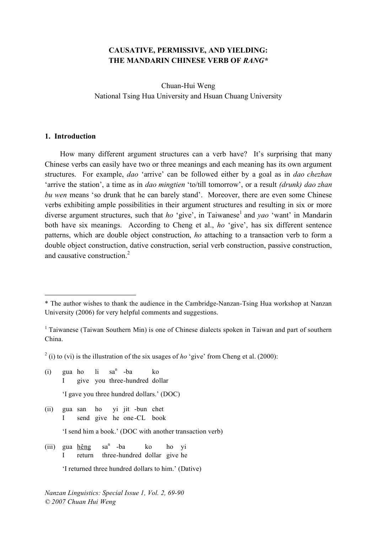### **CAUSATIVE, PERMISSIVE, AND YIELDING: THE MANDARIN CHINESE VERB OF** *RANG\**

Chuan-Hui Weng National Tsing Hua University and Hsuan Chuang University

#### **1. Introduction**

 $\overline{a}$ 

How many different argument structures can a verb have? It's surprising that many Chinese verbs can easily have two or three meanings and each meaning has its own argument structures. For example, *dao* 'arrive' can be followed either by a goal as in *dao chezhan* 'arrive the station', a time as in *dao mingtien* 'to/till tomorrow', or a result *(drunk) dao zhan bu wen* means 'so drunk that he can barely stand'. Moreover, there are even some Chinese verbs exhibiting ample possibilities in their argument structures and resulting in six or more diverse argument structures, such that *ho* 'give', in Taiwanese <sup>1</sup> and *yao* 'want' in Mandarin both have six meanings. According to Cheng et al., *ho* 'give', has six different sentence patterns, which are double object construction, *ho* attaching to a transaction verb to form a double object construction, dative construction, serial verb construction, passive construction, and causative construction. 2

 $2$  (i) to (vi) is the illustration of the six usages of *ho* 'give' from Cheng et al. (2000):

- $(i)$  gua ho li  $sa<sup>n</sup>$  -ba ko I give you three-hundred dollar 'I gave you three hundred dollars.' (DOC)
- (ii) gua san ho yi jit -bun chet I send give he one -CL book

'I send him a book.' (DOC with another transaction verb)

(iii) gua hêng  $sa<sup>n</sup>$  -ba ko ho yi return three-hundred dollar give he

*Nanzan Linguistics: Special Issue 1, Vol. 2, 69-90 © 2007 Chuan Hui Weng*

<sup>\*</sup> The author wishes to thank the audience in the Cambridge-Nanzan-Tsing Hua workshop at Nanzan University (2006) for very helpful comments and suggestions.

<sup>&</sup>lt;sup>1</sup> Taiwanese (Taiwan Southern Min) is one of Chinese dialects spoken in Taiwan and part of southern China.

<sup>&#</sup>x27;I returned three hundred dollars to him.' (Dative)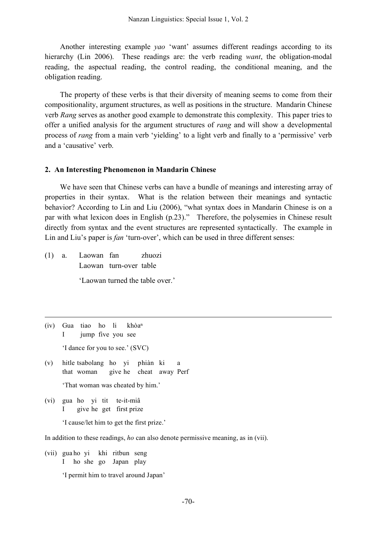Another interesting example *yao* 'want' assumes different readings according to its hierarchy (Lin 2006). These readings are: the verb reading *want*, the obligation-modal reading, the aspectual reading, the control reading, the conditional meaning, and the obligation reading.

The property of these verbs is that their diversity of meaning seems to come from their compositionality, argument structures, as well as positions in the structure. Mandarin Chinese verb *Rang* serves as another good example to demonstrate this complexity. This paper tries to offer a unified analysis for the argument structures of *rang* and will show a developmental process of *rang* from a main verb 'yielding' to a light verb and finally to a 'permissive' verb and a 'causative' verb.

#### **2. An Interesting Phenomenon in Mandarin Chinese**

We have seen that Chinese verbs can have a bundle of meanings and interesting array of properties in their syntax. What is the relation between their meanings and syntactic behavior? According to Lin and Liu (2006), "what syntax does in Mandarin Chinese is on a par with what lexicon does in English (p.23)." Therefore, the polysemies in Chinese result directly from syntax and the event structures are represented syntactically. The example in Lin and Liu's paper is *fan* 'turn-over', which can be used in three different senses:

(1) a. Laowan fan zhuozi Laowan turn-over table

'Laowan turned the table over.'

(iv) Gua tiao ho li khòa<sup>n</sup> I jump five you see 'I dance for you to see.' (SVC)

<u>.</u>

- (v) hitle tsabolang ho yi phiàn ki a that woman give he cheat away Perf 'That woman was cheated by him.'
- (vi) gua ho yi tit te-it-miâ I give he get first prize

'I cause/let him to get the first prize.'

In addition to these readings, *ho* can also denote permissive meaning, as in (vii).

(vii) gua ho yi khi ritbun seng I ho she go Japan play 'I permit him to travel around Japan'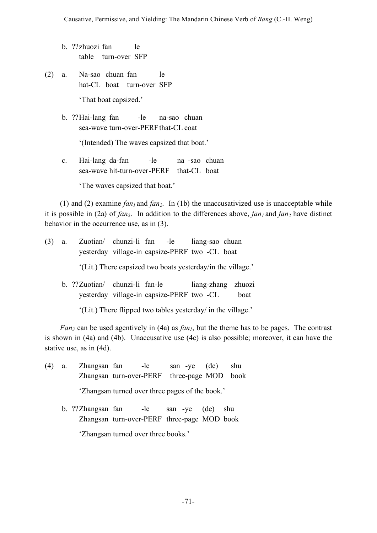- b. ??zhuozi fan le table turn-over SFP
- (2) a. Na-sao chuan fan le hat-CL boat turn-over SFP 'That boat capsized.'
	- b. ??Hai-lang fan -le na-sao chuan sea-wave turn-over-PERF that-CL coat

'(Intended) The waves capsized that boat.'

c. Hai-lang da-fan -le na -sao chuan sea-wave hit-turn-over-PERF that-CL boat

'The waves capsized that boat.'

(1) and (2) examine  $fan_1$  and  $fan_2$ . In (1b) the unaccusativized use is unacceptable while it is possible in (2a) of  $fan_2$ . In addition to the differences above,  $fan_1$  and  $fan_2$  have distinct behavior in the occurrence use, as in (3).

| $(3)$ a.                                                    |  |                                |  | Zuotian/ chunzi-li fan -le liang-sao chuan     |                    |      |
|-------------------------------------------------------------|--|--------------------------------|--|------------------------------------------------|--------------------|------|
|                                                             |  |                                |  | yesterday village-in capsize-PERF two -CL boat |                    |      |
| '(Lit.) There capsized two boats yesterday/in the village.' |  |                                |  |                                                |                    |      |
|                                                             |  | b. ??Zuotian/ chunzi-li fan-le |  |                                                | liang-zhang zhuozi |      |
|                                                             |  |                                |  | yesterday village-in capsize-PERF two -CL      |                    | boat |

'(Lit.) There flipped two tables yesterday/ in the village.'

*Fan<sub>3</sub>* can be used agentively in (4a) as *fan<sub>1</sub>*, but the theme has to be pages. The contrast is shown in (4a) and (4b). Unaccusative use (4c) is also possible; moreover, it can have the stative use, as in (4d).

- (4) a. Zhangsan fan -le san -ye (de) shu Zhangsan turn-over-PERF three-page MOD book 'Zhangsan turned over three pages of the book.'
	- b. ??Zhangsan fan -le san -ye (de) shu Zhangsan turn-over-PERF three-page MOD book

'Zhangsan turned over three books.'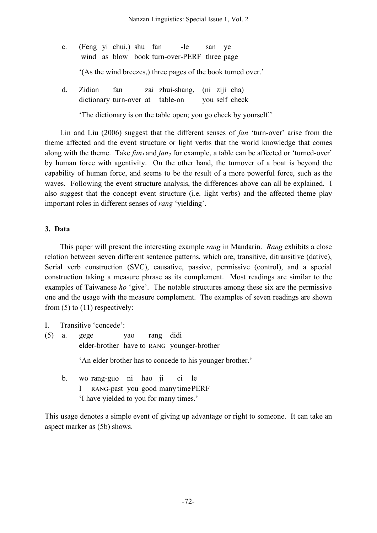| $c_{\cdot}$ | (Feng yi chui,) shu fan -le<br>wind as blow book turn-over-PERF three page |                                   |  |  |  | san ve |                                                               |  |
|-------------|----------------------------------------------------------------------------|-----------------------------------|--|--|--|--------|---------------------------------------------------------------|--|
|             |                                                                            |                                   |  |  |  |        | '(As the wind breezes,) three pages of the book turned over.' |  |
| $d_{\cdot}$ | Zidian<br>dictionary turn-over at table-on you self check                  | fan zai zhui-shang, (ni ziji cha) |  |  |  |        |                                                               |  |
|             | The dictionary is on the table open; you go check by yourself.             |                                   |  |  |  |        |                                                               |  |

Lin and Liu (2006) suggest that the different senses of *fan* 'turn-over' arise from the theme affected and the event structure or light verbs that the world knowledge that comes along with the theme. Take *fan<sub>1</sub>* and *fan<sub>2</sub>* for example, a table can be affected or 'turned-over' by human force with agentivity. On the other hand, the turnover of a boat is beyond the capability of human force, and seems to be the result of a more powerful force, such as the waves. Following the event structure analysis, the differences above can all be explained. I also suggest that the concept event structure (i.e. light verbs) and the affected theme play important roles in different senses of *rang* 'yielding'.

### **3. Data**

This paper will present the interesting example *rang* in Mandarin. *Rang* exhibits a close relation between seven different sentence patterns, which are, transitive, ditransitive (dative), Serial verb construction (SVC), causative, passive, permissive (control), and a special construction taking a measure phrase as its complement. Most readings are similar to the examples of Taiwanese *ho* 'give'. The notable structures among these six are the permissive one and the usage with the measure complement. The examples of seven readings are shown from  $(5)$  to  $(11)$  respectively:

I. Transitive 'concede':

(5) a. gege yao rang didi elder-brother have to RANG younger-brother

'An elder brother has to concede to his younger brother.'

b. wo rang-guo ni hao ji ci le I RANG-past you good many timePERF 'I have yielded to you for many times.'

This usage denotes a simple event of giving up advantage or right to someone. It can take an aspect marker as (5b) shows.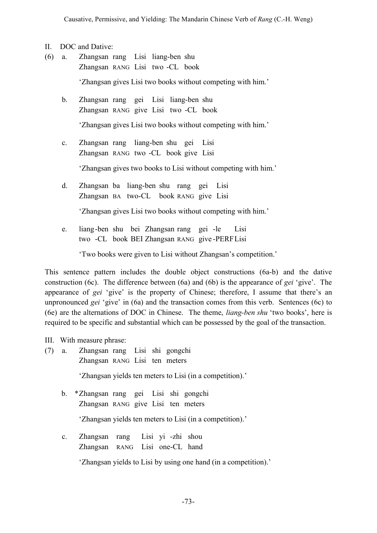- II. DOC and Dative:
- (6) a. Zhangsan rang Lisi liang-ben shu Zhangsan RANG Lisi two -CL book

'Zhangsan gives Lisi two books without competing with him.'

b. Zhangsan rang gei Lisi liang-ben shu Zhangsan RANG give Lisi two -CL book

'Zhangsan gives Lisi two books without competing with him.'

c. Zhangsan rang liang-ben shu gei Lisi Zhangsan RANG two -CL book give Lisi

'Zhangsan gives two books to Lisi without competing with him.'

d. Zhangsan ba liang-ben shu rang gei Lisi Zhangsan BA two-CL book RANG give Lisi

'Zhangsan gives Lisi two books without competing with him.'

e. liang-ben shu bei Zhangsan rang gei -le Lisi two -CL book BEI Zhangsan RANG give -PERFLisi

'Two books were given to Lisi without Zhangsan's competition.'

This sentence pattern includes the double object constructions (6a-b) and the dative construction (6c). The difference between (6a) and (6b) is the appearance of *gei* 'give'. The appearance of *gei* 'give' is the property of Chinese; therefore, I assume that there's an unpronounced *gei* 'give' in (6a) and the transaction comes from this verb. Sentences (6c) to (6e) are the alternations of DOC in Chinese. The theme, *liang-ben shu* 'two books', here is required to be specific and substantial which can be possessed by the goal of the transaction.

III. With measure phrase:

- (7) a. Zhangsan rang Lisi shi gongchi Zhangsan RANG Lisi ten meters 'Zhangsan yields ten meters to Lisi (in a competition).' b. \*Zhangsan rang gei Lisi shi gongchi Zhangsan RANG give Lisi ten meters 'Zhangsan yields ten meters to Lisi (in a competition).'
	- c. Zhangsan rang Lisi yi -zhi shou Zhangsan RANG Lisi one-CL hand

'Zhangsan yields to Lisi by using one hand (in a competition).'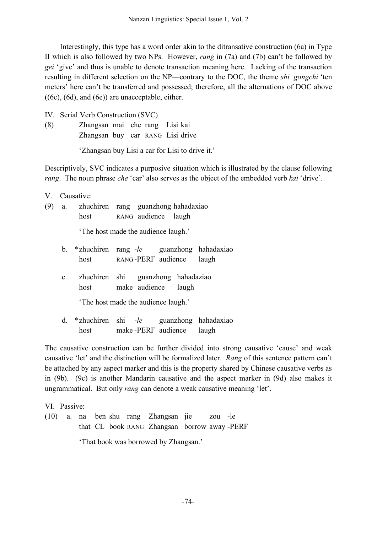Interestingly, this type has a word order akin to the ditransative construction (6a) in Type II which is also followed by two NPs. However, *rang* in (7a) and (7b) can't be followed by *gei* 'give' and thus is unable to denote transaction meaning here. Lacking of the transaction resulting in different selection on the NP—contrary to the DOC, the theme *shi gongchi* 'ten meters' here can't be transferred and possessed; therefore, all the alternations of DOC above  $((6c), (6d), and (6e))$  are unacceptable, either.

IV. Serial Verb Construction (SVC)

(8) Zhangsan mai che rang Lisi kai Zhangsan buy car RANG Lisi drive

'Zhangsan buy Lisi a car for Lisi to drive it.'

Descriptively, SVC indicates a purposive situation which is illustrated by the clause following *rang*. The noun phrase *che* 'car' also serves as the object of the embedded verb *kai* 'drive'.

V. Causative:

(9) a. zhuchiren rang guanzhong hahadaxiao host RANG audience laugh

'The host made the audience laugh.'

- b. \*zhuchiren rang -*le* guanzhong hahadaxiao host RANG-PERF audience laugh
- c. zhuchiren shi guanzhong hahadaziao host make audience laugh

'The host made the audience laugh.'

d. \*zhuchiren shi -*le* guanzhong hahadaxiao host make -PERF audience laugh

The causative construction can be further divided into strong causative 'cause' and weak causative 'let' and the distinction will be formalized later. *Rang* of this sentence pattern can't be attached by any aspect marker and this is the property shared by Chinese causative verbs as in (9b). (9c) is another Mandarin causative and the aspect marker in (9d) also makes it ungrammatical. But only *rang* can denote a weak causative meaning 'let'.

VI. Passive:

(10) a. na ben shu rang Zhangsan jie zou -le that CL book RANG Zhangsan borrow away -PERF 'That book was borrowed by Zhangsan.'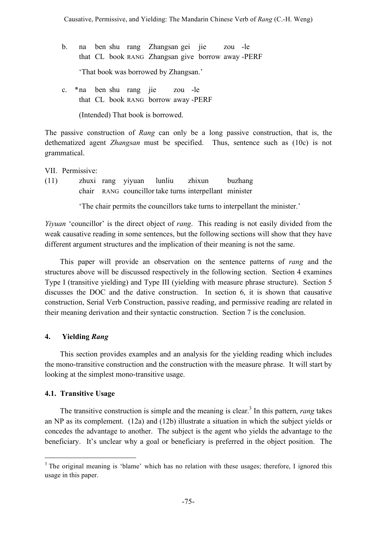- b. na ben shu rang Zhangsan gei jie zou -le that CL book RANG Zhangsan give borrow away -PERF 'That book was borrowed by Zhangsan.'
- c. \*na ben shu rang jie zou -le that CL book RANG borrow away -PERF

(Intended) That book is borrowed.

The passive construction of *Rang* can only be a long passive construction, that is, the dethematized agent *Zhangsan* must be specified. Thus, sentence such as (10c) is not grammatical.

VII. Permissive:

(11) zhuxi rang yiyuan lunliu zhixun buzhang chair RANG councillor take turns interpellant minister

'The chair permits the councillors take turns to interpellant the minister.'

*Yiyuan* 'councillor' is the direct object of *rang*. This reading is not easily divided from the weak causative reading in some sentences, but the following sections will show that they have different argument structures and the implication of their meaning is not the same.

This paper will provide an observation on the sentence patterns of *rang* and the structures above will be discussed respectively in the following section. Section 4 examines Type I (transitive yielding) and Type III (yielding with measure phrase structure). Section 5 discusses the DOC and the dative construction. In section 6, it is shown that causative construction, Serial Verb Construction, passive reading, and permissive reading are related in their meaning derivation and their syntactic construction. Section 7 is the conclusion.

# **4. Yielding** *Rang*

This section provides examples and an analysis for the yielding reading which includes the mono-transitive construction and the construction with the measure phrase. It will start by looking at the simplest mono-transitive usage.

# **4.1. Transitive Usage**

The transitive construction is simple and the meaning is clear. <sup>3</sup> In this pattern, *rang* takes an NP as its complement. (12a) and (12b) illustrate a situation in which the subject yields or concedes the advantage to another. The subject is the agent who yields the advantage to the beneficiary. It's unclear why a goal or beneficiary is preferred in the object position. The

<sup>&</sup>lt;sup>3</sup> The original meaning is 'blame' which has no relation with these usages; therefore, I ignored this usage in this paper.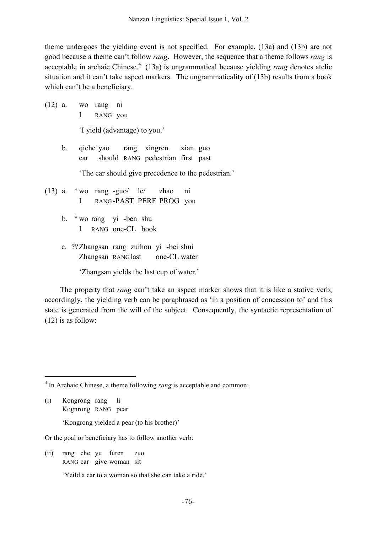theme undergoes the yielding event is not specified. For example, (13a) and (13b) are not good because a theme can't follow *rang*. However, the sequence that a theme follows *rang* is acceptable in archaic Chinese. <sup>4</sup> (13a) is ungrammatical because yielding *rang* denotes atelic situation and it can't take aspect markers. The ungrammaticality of (13b) results from a book which can't be a beneficiary.

(12) a. wo rang ni I RANG you

'I yield (advantage) to you.'

b. qiche yao rang xingren xian guo car should RANG pedestrian first past

'The car should give precedence to the pedestrian.'

- (13) a. \*wo rang -guo/ le/ zhao ni I RANG -PAST PERF PROG you
	- b. \* wo rang yi -ben shu I RANG one-CL book
	- c. ??Zhangsan rang zuihou yi -bei shui Zhangsan RANG last one-CL water

'Zhangsan yields the last cup of water.'

The property that *rang* can't take an aspect marker shows that it is like a stative verb; accordingly, the yielding verb can be paraphrased as 'in a position of concession to' and this state is generated from the will of the subject. Consequently, the syntactic representation of (12) is as follow:

4 In Archaic Chinese, <sup>a</sup> theme following *rang* is acceptable and common:

(i) Kongrong rang li Kognrong RANG pear

'Kongrong yielded a pear (to his brother)'

Or the goal or beneficiary has to follow another verb:

(ii) rang che yu furen zuo RANG car give woman sit

'Yeild a car to a woman so that she can take a ride.'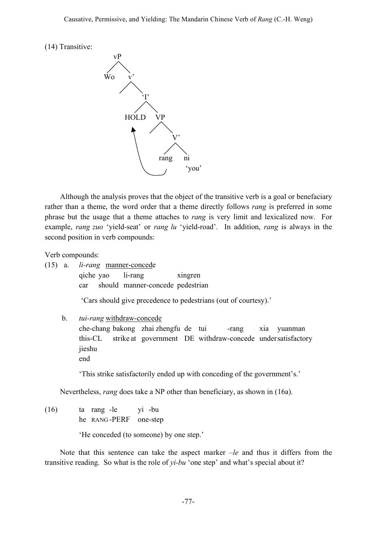(14) Transitive:



Although the analysis proves that the object of the transitive verb is a goal or benefaciary rather than a theme, the word order that a theme directly follows *rang* is preferred in some phrase but the usage that a theme attaches to *rang* is very limit and lexicalized now. For example, *rang zuo* 'yield-seat' or *rang lu* 'yield-road'. In addition, *rang* is always in the second position in verb compounds:

Verb compounds:

|  | $(15)$ a. <i>li-rang</i> manner-concede |  |                                      |  |
|--|-----------------------------------------|--|--------------------------------------|--|
|  |                                         |  | qiche yao li-rang xingren            |  |
|  |                                         |  | car should manner-concede pedestrian |  |

'Cars should give precedence to pedestrians (out of courtesy).'

#### b. *tui-rang* withdraw-concede

che-chang bakong zhai zhengfu de tui -rang xia yuanman this-CL strike at government DE withdraw-concede undersatisfactory jieshu end

'This strike satisfactorily ended up with conceding of the government's.'

Nevertheless, *rang* does take a NP other than beneficiary, as shown in (16a).

(16) ta rang -le yi -bu he RANG -PERF one-step

'He conceded (to someone) by one step.'

Note that this sentence can take the aspect marker *–le* and thus it differs from the transitive reading. So what is the role of *yi-bu* 'one step' and what's special about it?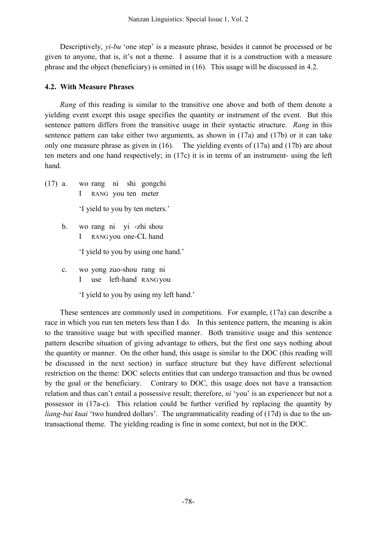Descriptively, *yi-bu* 'one step' is a measure phrase, besides it cannot be processed or be given to anyone, that is, it's not a theme. I assume that it is a construction with a measure phrase and the object (beneficiary) is omitted in (16). This usage will be discussed in 4.2.

### **4.2. With Measure Phrases**

*Rang* of this reading is similar to the transitive one above and both of them denote a yielding event except this usage specifies the quantity or instrument of the event. But this sentence pattern differs from the transitive usage in their syntactic structure. *Rang* in this sentence pattern can take either two arguments, as shown in (17a) and (17b) or it can take only one measure phrase as given in (16). The yielding events of (17a) and (17b) are about ten meters and one hand respectively; in (17c) it is in terms of an instrument- using the left hand.

- (17) a. wo rang ni shi gongchi I RANG you ten meter 'I yield to you by ten meters.'
	- b. wo rang ni yi -zhi shou I RANG you one-CL hand

'I yield to you by using one hand.'

c. wo yong zuo-shou rang ni I use left-hand RANG you

'I yield to you by using my left hand.'

These sentences are commonly used in competitions. For example, (17a) can describe a race in which you run ten meters less than I do. In this sentence pattern, the meaning is akin to the transitive usage but with specified manner. Both transitive usage and this sentence pattern describe situation of giving advantage to others, but the first one says nothing about the quantity or manner. On the other hand, this usage is similar to the DOC (this reading will be discussed in the next section) in surface structure but they have different selectional restriction on the theme: DOC selects entities that can undergo transaction and thus be owned by the goal or the beneficiary. Contrary to DOC, this usage does not have a transaction relation and thus can't entail a possessive result; therefore, *ni* 'you' is an experiencer but not a possessor in (17a-c). This relation could be further verified by replacing the quantity by *liang-bai kuai* 'two hundred dollars'. The ungrammaticality reading of (17d) is due to the untransactional theme. The yielding reading is fine in some context, but not in the DOC.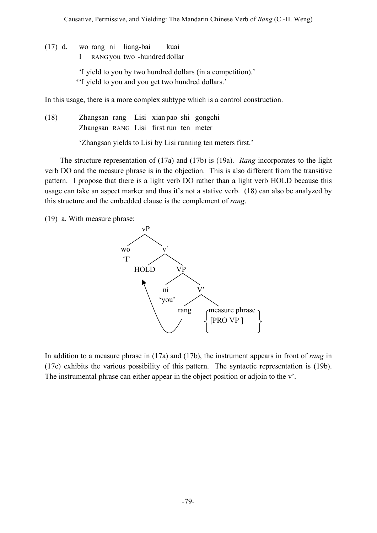(17) d. wo rang ni liang-bai kuai I RANG you two -hundred dollar 'I yield to you by two hundred dollars (in a competition).' \*'I yield to you and you get two hundred dollars.'

In this usage, there is a more complex subtype which is a control construction.

(18) Zhangsan rang Lisi xian pao shi gongchi Zhangsan RANG Lisi first run ten meter

'Zhangsan yields to Lisi by Lisi running ten meters first.'

The structure representation of (17a) and (17b) is (19a). *Rang* incorporates to the light verb DO and the measure phrase is in the objection. This is also different from the transitive pattern. I propose that there is a light verb DO rather than a light verb HOLD because this usage can take an aspect marker and thus it's not a stative verb. (18) can also be analyzed by this structure and the embedded clause is the complement of *rang*.

(19) a. With measure phrase:



In addition to a measure phrase in (17a) and (17b), the instrument appears in front of *rang* in (17c) exhibits the various possibility of this pattern. The syntactic representation is (19b). The instrumental phrase can either appear in the object position or adjoin to the v'.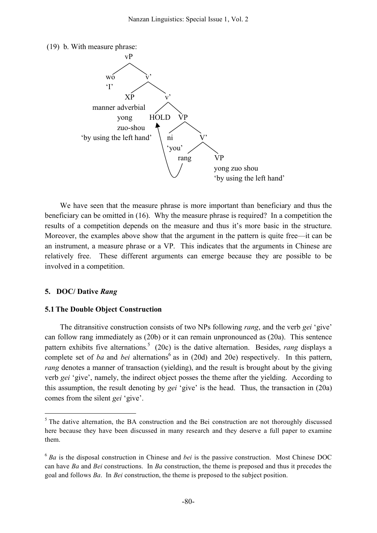(19) b. With measure phrase:



We have seen that the measure phrase is more important than beneficiary and thus the beneficiary can be omitted in (16). Why the measure phrase is required? In a competition the results of a competition depends on the measure and thus it's more basic in the structure. Moreover, the examples above show that the argument in the pattern is quite free—it can be an instrument, a measure phrase or a VP. This indicates that the arguments in Chinese are relatively free. These different arguments can emerge because they are possible to be involved in a competition.

#### **5. DOC/ Dative** *Rang*

#### **5.1The Double Object Construction**

The ditransitive construction consists of two NPs following *rang*, and the verb *gei* 'give' can follow rang immediately as (20b) or it can remain unpronounced as (20a). This sentence pattern exhibits five alternations. <sup>5</sup> (20c) is the dative alternation. Besides, *rang* displays a complete set of *ba* and *bei* alternations<sup>6</sup> as in (20d) and 20e) respectively. In this pattern, *rang* denotes a manner of transaction (yielding), and the result is brought about by the giving verb *gei* 'give', namely, the indirect object posses the theme after the yielding. According to this assumption, the result denoting by *gei* 'give' is the head. Thus, the transaction in (20a) comes from the silent *gei* 'give'.

<sup>&</sup>lt;sup>5</sup> The dative alternation, the BA construction and the Bei construction are not thoroughly discussed here because they have been discussed in many research and they deserve a full paper to examine them.

<sup>6</sup> *Ba* is the disposal construction in Chinese and *bei* is the passive construction. Most Chinese DOC can have *Ba* and *Bei* constructions. In *Ba* construction, the theme is preposed and thus it precedes the goal and follows *Ba*. In *Bei* construction, the theme is preposed to the subject position.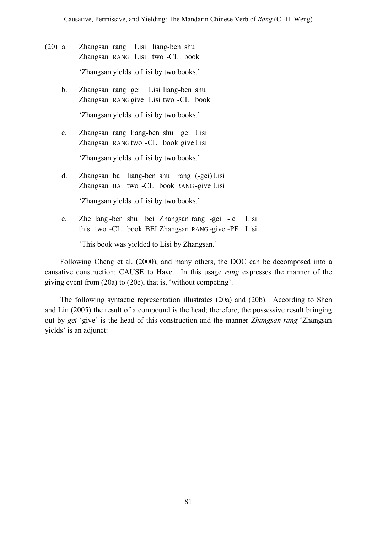- (20) a. Zhangsan rang Lisi liang-ben shu Zhangsan RANG Lisi two -CL book 'Zhangsan yields to Lisi by two books.'
	- b. Zhangsan rang gei Lisi liang-ben shu Zhangsan RANG give Lisi two -CL book 'Zhangsan yields to Lisi by two books.'
	- c. Zhangsan rang liang-ben shu gei Lisi Zhangsan RANG two -CL book give Lisi 'Zhangsan yields to Lisi by two books.'
	- d. Zhangsan ba liang-ben shu rang (-gei)Lisi Zhangsan BA two -CL book RANG -give Lisi

'Zhangsan yields to Lisi by two books.'

e. Zhe lang -ben shu bei Zhangsan rang -gei -le Lisi this two -CL book BEI Zhangsan RANG -give -PF Lisi

'This book was yielded to Lisi by Zhangsan.'

Following Cheng et al. (2000), and many others, the DOC can be decomposed into a causative construction: CAUSE to Have. In this usage *rang* expresses the manner of the giving event from (20a) to (20e), that is, 'without competing'.

The following syntactic representation illustrates (20a) and (20b). According to Shen and Lin (2005) the result of a compound is the head; therefore, the possessive result bringing out by *gei* 'give' is the head of this construction and the manner *Zhangsan rang* 'Zhangsan yields' is an adjunct: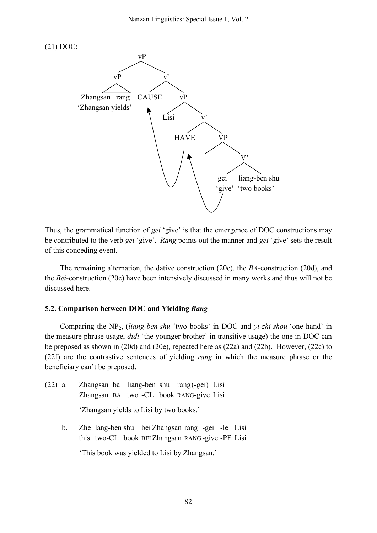



Thus, the grammatical function of *gei* 'give' is that the emergence of DOC constructions may be contributed to the verb *gei* 'give'. *Rang* points out the manner and *gei* 'give' sets the result of this conceding event.

The remaining alternation, the dative construction (20c), the *BA*-construction (20d), and the *Bei*-construction (20e) have been intensively discussed in many works and thus will not be discussed here.

#### **5.2. Comparison between DOC and Yielding** *Rang*

Comparing the NP2, (*liang-ben shu* 'two books' in DOC and *yi-zhi shou* 'one hand' in the measure phrase usage, *didi* 'the younger brother' in transitive usage) the one in DOC can be preposed as shown in (20d) and (20e), repeated here as (22a) and (22b). However, (22c) to (22f) are the contrastive sentences of yielding *rang* in which the measure phrase or the beneficiary can't be preposed.

(22) a. Zhangsan ba liang-ben shu rang(-gei) Lisi Zhangsan BA two -CL book RANG-give Lisi

'Zhangsan yields to Lisi by two books.'

b. Zhe lang-ben shu bei Zhangsan rang -gei -le Lisi this two-CL book BEIZhangsan RANG -give -PF Lisi

'This book was yielded to Lisi by Zhangsan.'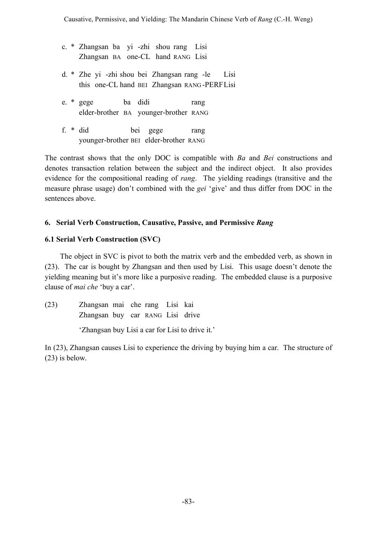- c. \* Zhangsan ba yi -zhi shou rang Lisi Zhangsan BA one-CL hand RANG Lisi
- d. \* Zhe yi -zhi shou bei Zhangsan rang -le Lisi this one-CL hand BEI Zhangsan RANG -PERFLisi
- e. \* gege ba didi rang elder-brother BA younger-brother RANG
- f. \* did bei gege rang younger-brother BEI elder-brother RANG

The contrast shows that the only DOC is compatible with *Ba* and *Bei* constructions and denotes transaction relation between the subject and the indirect object. It also provides evidence for the compositional reading of *rang*. The yielding readings (transitive and the measure phrase usage) don't combined with the *gei* 'give' and thus differ from DOC in the sentences above.

# **6. Serial Verb Construction, Causative, Passive, and Permissive** *Rang*

# **6.1 Serial Verb Construction (SVC)**

The object in SVC is pivot to both the matrix verb and the embedded verb, as shown in (23). The car is bought by Zhangsan and then used by Lisi. This usage doesn't denote the yielding meaning but it's more like a purposive reading. The embedded clause is a purposive clause of *mai che* 'buy a car'.

(23) Zhangsan mai che rang Lisi kai Zhangsan buy car RANG Lisi drive 'Zhangsan buy Lisi a car for Lisi to drive it.'

In (23), Zhangsan causes Lisi to experience the driving by buying him a car. The structure of (23) is below.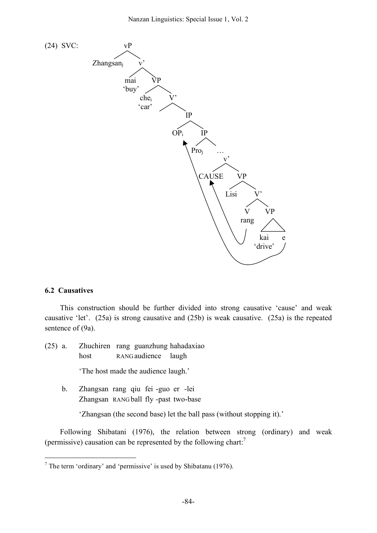

#### **6.2 Causatives**

This construction should be further divided into strong causative 'cause' and weak causative 'let'. (25a) is strong causative and (25b) is weak causative. (25a) is the repeated sentence of (9a).

- (25) a. Zhuchiren rang guanzhung hahadaxiao host RANG audience laugh 'The host made the audience laugh.' b. Zhangsan rang qiu fei -guo er -lei
	- Zhangsan RANG ball fly -past two-base

'Zhangsan (the second base) let the ball pass (without stopping it).'

Following Shibatani (1976), the relation between strong (ordinary) and weak (permissive) causation can be represented by the following chart.<sup>7</sup>

 $<sup>7</sup>$  The term 'ordinary' and 'permissive' is used by Shibatanu (1976).</sup>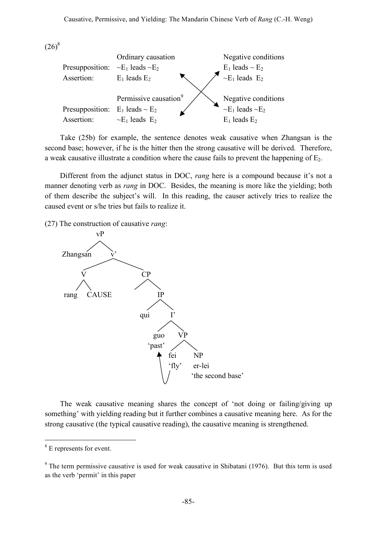$(26)^8$ 



Take (25b) for example, the sentence denotes weak causative when Zhangsan is the second base; however, if he is the hitter then the strong causative will be derived. Therefore, a weak causative illustrate a condition where the cause fails to prevent the happening of  $E_2$ .

Different from the adjunct status in DOC, *rang* here is a compound because it's not a manner denoting verb as *rang* in DOC. Besides, the meaning is more like the yielding; both of them describe the subject's will. In this reading, the causer actively tries to realize the caused event or s/he tries but fails to realize it.

(27) The construction of causative *rang*:



The weak causative meaning shares the concept of 'not doing or failing/giving up something' with yielding reading but it further combines a causative meaning here. As for the strong causative (the typical causative reading), the causative meaning is strengthened.

<sup>&</sup>lt;sup>8</sup> E represents for event.

 $9$  The term permissive causative is used for weak causative in Shibatani (1976). But this term is used as the verb 'permit' in this paper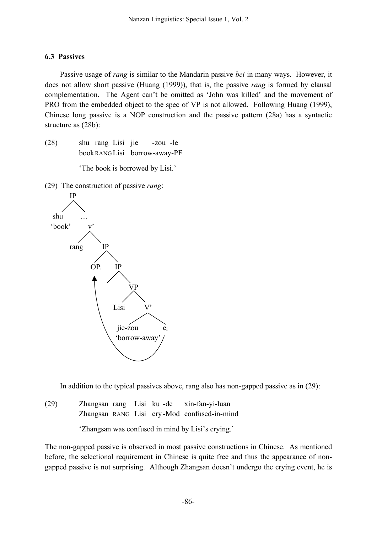## **6.3 Passives**

Passive usage of *rang* is similar to the Mandarin passive *bei* in many ways. However, it does not allow short passive (Huang (1999)), that is, the passive *rang* is formed by clausal complementation. The Agent can't be omitted as 'John was killed' and the movement of PRO from the embedded object to the spec of VP is not allowed. Following Huang (1999), Chinese long passive is a NOP construction and the passive pattern (28a) has a syntactic structure as (28b):

(28) shu rang Lisi jie -zou -le bookRANG Lisi borrow-away-PF

'The book is borrowed by Lisi.'

(29) The construction of passive *rang*:



In addition to the typical passives above, rang also has non-gapped passive as in (29):

(29) Zhangsan rang Lisi ku -de xin-fan-yi-luan Zhangsan RANG Lisi cry -Mod confused-in-mind

'Zhangsan was confused in mind by Lisi's crying.'

The non-gapped passive is observed in most passive constructions in Chinese. As mentioned before, the selectional requirement in Chinese is quite free and thus the appearance of nongapped passive is not surprising. Although Zhangsan doesn't undergo the crying event, he is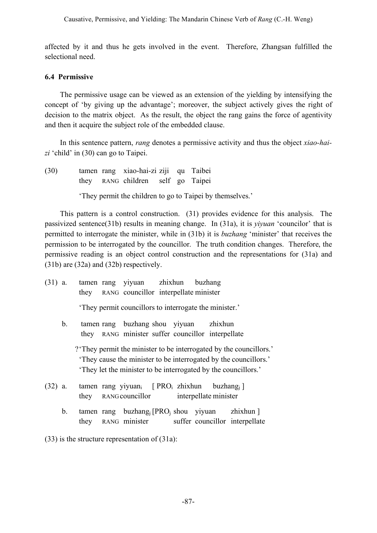affected by it and thus he gets involved in the event. Therefore, Zhangsan fulfilled the selectional need.

### **6.4 Permissive**

The permissive usage can be viewed as an extension of the yielding by intensifying the concept of 'by giving up the advantage'; moreover, the subject actively gives the right of decision to the matrix object. As the result, the object the rang gains the force of agentivity and then it acquire the subject role of the embedded clause.

In this sentence pattern, *rang* denotes a permissive activity and thus the object *xiao-haizi* 'child' in (30) can go to Taipei.

(30) tamen rang xiao-hai-zi ziji qu Taibei they RANG children self go Taipei

'They permit the children to go to Taipei by themselves.'

This pattern is a control construction. (31) provides evidence for this analysis. The passivized sentence(31b) results in meaning change. In (31a), it is *yiyuan* 'councilor' that is permitted to interrogate the minister, while in (31b) it is *buzhang* 'minister' that receives the permission to be interrogated by the councillor. The truth condition changes. Therefore, the permissive reading is an object control construction and the representations for (31a) and (31b) are (32a) and (32b) respectively.

- (31) a. tamen rang yiyuan zhixhun buzhang they RANG councillor interpellate minister 'They permit councillors to interrogate the minister.' b. tamen rang buzhang shou yiyuan zhixhun they RANG minister suffer councillor interpellate ?'They permit the minister to be interrogated by the councillors.' 'They cause the minister to be interrogated by the councillors.' 'They let the minister to be interrogated by the councillors.'
- (32) a. tamen rang yiyuan<sub>i</sub> [ PRO<sub>i</sub> zhixhun buzhang<sub>i</sub> ] they RANG councillor interpellate minister
	- b. tamen rang buzhang<sub>i</sub> [PRO<sub>i</sub> shou yiyuan zhixhun ] they RANG minister suffer councillor interpellate

(33) is the structure representation of (31a):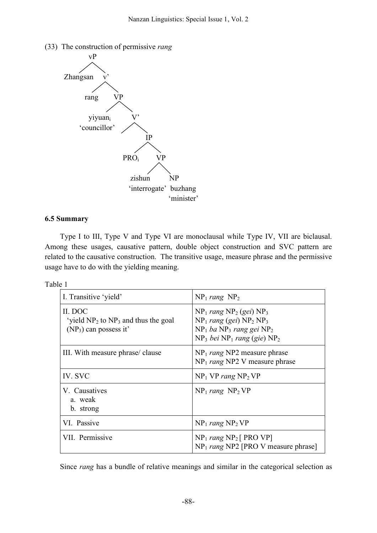



### **6.5 Summary**

Type I to III, Type V and Type VI are monoclausal while Type IV, VII are biclausal. Among these usages, causative pattern, double object construction and SVC pattern are related to the causative construction. The transitive usage, measure phrase and the permissive usage have to do with the yielding meaning.

| Table |  |
|-------|--|
|       |  |

| I. Transitive 'yield'                                                            | $NP_1$ rang $NP_2$                                                                                                                          |
|----------------------------------------------------------------------------------|---------------------------------------------------------------------------------------------------------------------------------------------|
| II. DOC<br>'vield $NP_2$ to $NP_3$ and thus the goal<br>$(NP_3)$ can possess it' | $NP_1$ rang $NP_2$ (gei) $NP_3$<br>$NP_1$ rang (gei) $NP_2 NP_3$<br>$NP_1$ ba $NP_3$ rang gei $NP_2$<br>$NP_3$ bei $NP_1$ rang (gie) $NP_2$ |
| III. With measure phrase/clause                                                  | $NP_1$ rang NP2 measure phrase<br>$NP_1$ rang NP2 V measure phrase                                                                          |
| IV. SVC                                                                          | $NP_1 VP$ rang $NP_2 VP$                                                                                                                    |
| V. Causatives<br>a. weak<br>b. strong                                            | $NP_1$ rang $NP_2 VP$                                                                                                                       |
| VI. Passive                                                                      | $NP_1$ rang $NP_2 VP$                                                                                                                       |
| VII. Permissive                                                                  | $NP_1$ rang $NP_2$ [ PRO VP]<br>$NP_1$ rang NP2 [PRO V measure phrase]                                                                      |

Since *rang* has a bundle of relative meanings and similar in the categorical selection as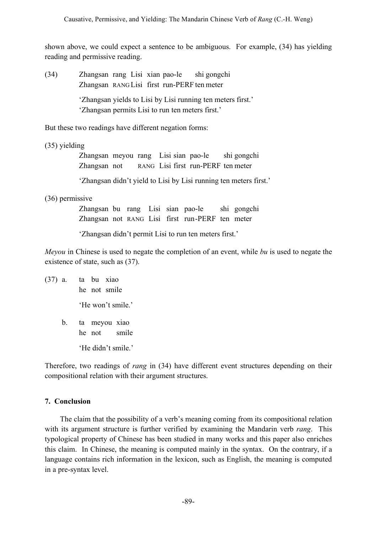shown above, we could expect a sentence to be ambiguous. For example, (34) has yielding reading and permissive reading.

(34) Zhangsan rang Lisi xian pao-le shi gongchi Zhangsan RANG Lisi first run-PERF ten meter 'Zhangsan yields to Lisi by Lisi running ten meters first.' 'Zhangsan permits Lisi to run ten meters first.'

But these two readings have different negation forms:

(35) yielding

Zhangsan meyou rang Lisi sian pao-le shi gongchi Zhangsan not RANG Lisi first run-PERF ten meter

'Zhangsan didn't yield to Lisi by Lisi running ten meters first.'

(36) permissive

Zhangsan bu rang Lisi sian pao-le shi gongchi Zhangsan not RANG Lisi first run-PERF ten meter

'Zhangsan didn't permit Lisi to run ten meters first.'

*Meyou* in Chinese is used to negate the completion of an event, while *bu* is used to negate the existence of state, such as (37).

(37) a. ta bu xiao he not smile 'He won't smile.' b. ta meyou xiao he not smile

'He didn't smile.'

Therefore, two readings of *rang* in (34) have different event structures depending on their compositional relation with their argument structures.

# **7. Conclusion**

The claim that the possibility of a verb's meaning coming from its compositional relation with its argument structure is further verified by examining the Mandarin verb *rang*. This typological property of Chinese has been studied in many works and this paper also enriches this claim. In Chinese, the meaning is computed mainly in the syntax. On the contrary, if a language contains rich information in the lexicon, such as English, the meaning is computed in a pre-syntax level.